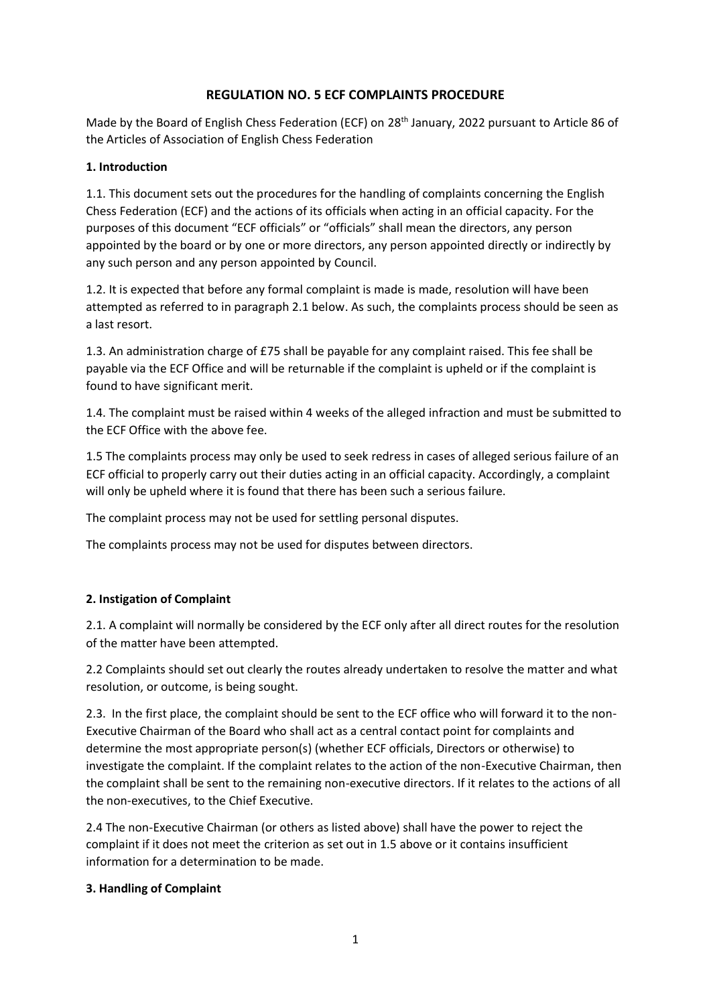# **REGULATION NO. 5 ECF COMPLAINTS PROCEDURE**

Made by the Board of English Chess Federation (ECF) on 28<sup>th</sup> January, 2022 pursuant to Article 86 of the Articles of Association of English Chess Federation

### **1. Introduction**

1.1. This document sets out the procedures for the handling of complaints concerning the English Chess Federation (ECF) and the actions of its officials when acting in an official capacity. For the purposes of this document "ECF officials" or "officials" shall mean the directors, any person appointed by the board or by one or more directors, any person appointed directly or indirectly by any such person and any person appointed by Council.

1.2. It is expected that before any formal complaint is made is made, resolution will have been attempted as referred to in paragraph 2.1 below. As such, the complaints process should be seen as a last resort.

1.3. An administration charge of £75 shall be payable for any complaint raised. This fee shall be payable via the ECF Office and will be returnable if the complaint is upheld or if the complaint is found to have significant merit.

1.4. The complaint must be raised within 4 weeks of the alleged infraction and must be submitted to the ECF Office with the above fee.

1.5 The complaints process may only be used to seek redress in cases of alleged serious failure of an ECF official to properly carry out their duties acting in an official capacity. Accordingly, a complaint will only be upheld where it is found that there has been such a serious failure.

The complaint process may not be used for settling personal disputes.

The complaints process may not be used for disputes between directors.

## **2. Instigation of Complaint**

2.1. A complaint will normally be considered by the ECF only after all direct routes for the resolution of the matter have been attempted.

2.2 Complaints should set out clearly the routes already undertaken to resolve the matter and what resolution, or outcome, is being sought.

2.3. In the first place, the complaint should be sent to the ECF office who will forward it to the non-Executive Chairman of the Board who shall act as a central contact point for complaints and determine the most appropriate person(s) (whether ECF officials, Directors or otherwise) to investigate the complaint. If the complaint relates to the action of the non-Executive Chairman, then the complaint shall be sent to the remaining non-executive directors. If it relates to the actions of all the non-executives, to the Chief Executive.

2.4 The non-Executive Chairman (or others as listed above) shall have the power to reject the complaint if it does not meet the criterion as set out in 1.5 above or it contains insufficient information for a determination to be made.

### **3. Handling of Complaint**